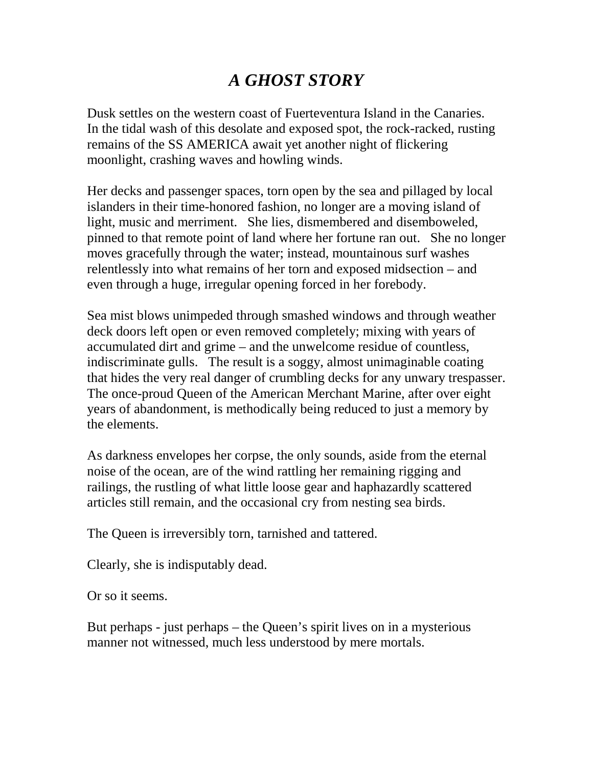## *A GHOST STORY*

Dusk settles on the western coast of Fuerteventura Island in the Canaries. In the tidal wash of this desolate and exposed spot, the rock-racked, rusting remains of the SS AMERICA await yet another night of flickering moonlight, crashing waves and howling winds.

Her decks and passenger spaces, torn open by the sea and pillaged by local islanders in their time-honored fashion, no longer are a moving island of light, music and merriment. She lies, dismembered and disemboweled, pinned to that remote point of land where her fortune ran out. She no longer moves gracefully through the water; instead, mountainous surf washes relentlessly into what remains of her torn and exposed midsection – and even through a huge, irregular opening forced in her forebody.

Sea mist blows unimpeded through smashed windows and through weather deck doors left open or even removed completely; mixing with years of accumulated dirt and grime – and the unwelcome residue of countless, indiscriminate gulls. The result is a soggy, almost unimaginable coating that hides the very real danger of crumbling decks for any unwary trespasser. The once-proud Queen of the American Merchant Marine, after over eight years of abandonment, is methodically being reduced to just a memory by the elements.

As darkness envelopes her corpse, the only sounds, aside from the eternal noise of the ocean, are of the wind rattling her remaining rigging and railings, the rustling of what little loose gear and haphazardly scattered articles still remain, and the occasional cry from nesting sea birds.

The Queen is irreversibly torn, tarnished and tattered.

Clearly, she is indisputably dead.

Or so it seems.

But perhaps - just perhaps – the Queen's spirit lives on in a mysterious manner not witnessed, much less understood by mere mortals.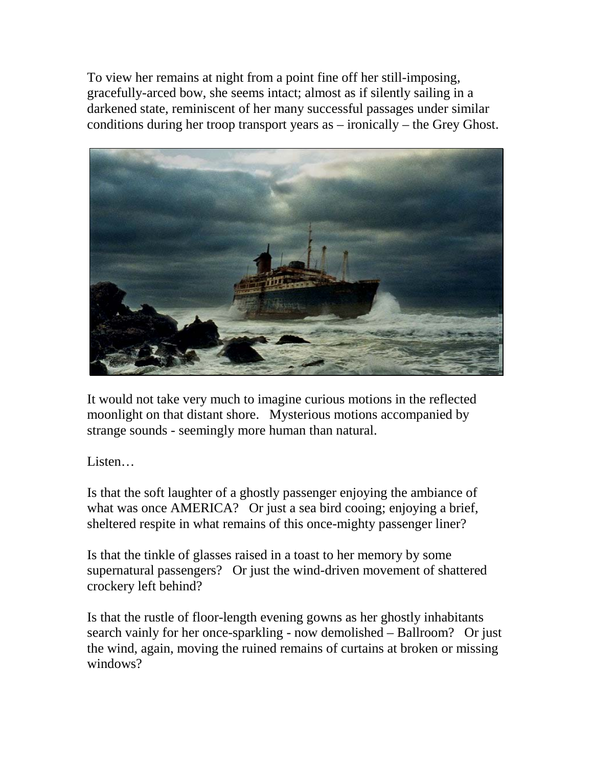To view her remains at night from a point fine off her still-imposing, gracefully-arced bow, she seems intact; almost as if silently sailing in a darkened state, reminiscent of her many successful passages under similar conditions during her troop transport years as – ironically – the Grey Ghost.



It would not take very much to imagine curious motions in the reflected moonlight on that distant shore. Mysterious motions accompanied by strange sounds - seemingly more human than natural.

Listen…

Is that the soft laughter of a ghostly passenger enjoying the ambiance of what was once AMERICA? Or just a sea bird cooing; enjoying a brief, sheltered respite in what remains of this once-mighty passenger liner?

Is that the tinkle of glasses raised in a toast to her memory by some supernatural passengers? Or just the wind-driven movement of shattered crockery left behind?

Is that the rustle of floor-length evening gowns as her ghostly inhabitants search vainly for her once-sparkling - now demolished – Ballroom? Or just the wind, again, moving the ruined remains of curtains at broken or missing windows?